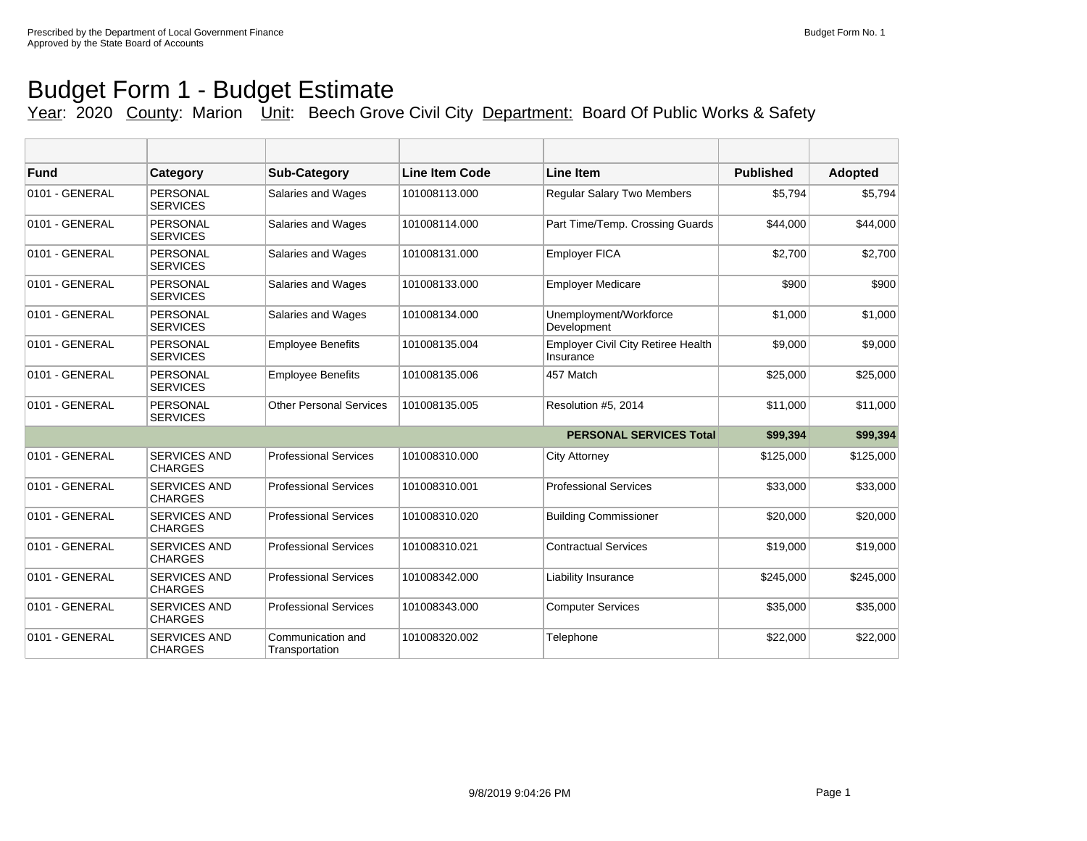## Budget Form 1 - Budget Estimate Year: 2020 County: Marion Unit: Beech Grove Civil City Department: Board Of Public Works & Safety

| <b>Fund</b>    | Category                              | <b>Sub-Category</b>                 | <b>Line Item Code</b> | <b>Line Item</b>                                       | <b>Published</b> | Adopted   |
|----------------|---------------------------------------|-------------------------------------|-----------------------|--------------------------------------------------------|------------------|-----------|
| 0101 - GENERAL | <b>PERSONAL</b><br><b>SERVICES</b>    | Salaries and Wages                  | 101008113.000         | <b>Regular Salary Two Members</b>                      | \$5,794          | \$5,794   |
| 0101 - GENERAL | <b>PERSONAL</b><br><b>SERVICES</b>    | Salaries and Wages                  | 101008114.000         | Part Time/Temp. Crossing Guards                        | \$44,000         | \$44,000  |
| 0101 - GENERAL | PERSONAL<br><b>SERVICES</b>           | Salaries and Wages                  | 101008131.000         | <b>Employer FICA</b>                                   | \$2,700          | \$2,700   |
| 0101 - GENERAL | <b>PERSONAL</b><br><b>SERVICES</b>    | Salaries and Wages                  | 101008133.000         | <b>Employer Medicare</b>                               | \$900            | \$900     |
| 0101 - GENERAL | <b>PERSONAL</b><br><b>SERVICES</b>    | Salaries and Wages                  | 101008134.000         | Unemployment/Workforce<br>Development                  | \$1,000          | \$1,000   |
| 0101 - GENERAL | PERSONAL<br><b>SERVICES</b>           | <b>Employee Benefits</b>            | 101008135.004         | <b>Employer Civil City Retiree Health</b><br>Insurance | \$9,000          | \$9,000   |
| 0101 - GENERAL | <b>PERSONAL</b><br><b>SERVICES</b>    | <b>Employee Benefits</b>            | 101008135.006         | 457 Match                                              | \$25,000         | \$25,000  |
| 0101 - GENERAL | <b>PERSONAL</b><br><b>SERVICES</b>    | <b>Other Personal Services</b>      | 101008135.005         | Resolution #5, 2014                                    | \$11,000         | \$11,000  |
|                |                                       |                                     |                       | <b>PERSONAL SERVICES Total</b>                         | \$99,394         | \$99,394  |
| 0101 - GENERAL | <b>SERVICES AND</b><br><b>CHARGES</b> | <b>Professional Services</b>        | 101008310.000         | <b>City Attorney</b>                                   | \$125,000        | \$125,000 |
| 0101 - GENERAL | <b>SERVICES AND</b><br><b>CHARGES</b> | <b>Professional Services</b>        | 101008310.001         | <b>Professional Services</b>                           | \$33,000         | \$33,000  |
| 0101 - GENERAL | <b>SERVICES AND</b><br><b>CHARGES</b> | <b>Professional Services</b>        | 101008310.020         | <b>Building Commissioner</b>                           | \$20,000         | \$20,000  |
| 0101 - GENERAL | <b>SERVICES AND</b><br><b>CHARGES</b> | <b>Professional Services</b>        | 101008310.021         | <b>Contractual Services</b>                            | \$19,000         | \$19,000  |
| 0101 - GENERAL | <b>SERVICES AND</b><br><b>CHARGES</b> | <b>Professional Services</b>        | 101008342.000         | <b>Liability Insurance</b>                             | \$245,000        | \$245,000 |
| 0101 - GENERAL | <b>SERVICES AND</b><br><b>CHARGES</b> | <b>Professional Services</b>        | 101008343.000         | <b>Computer Services</b>                               | \$35,000         | \$35,000  |
| 0101 - GENERAL | <b>SERVICES AND</b><br><b>CHARGES</b> | Communication and<br>Transportation | 101008320.002         | Telephone                                              | \$22,000         | \$22,000  |